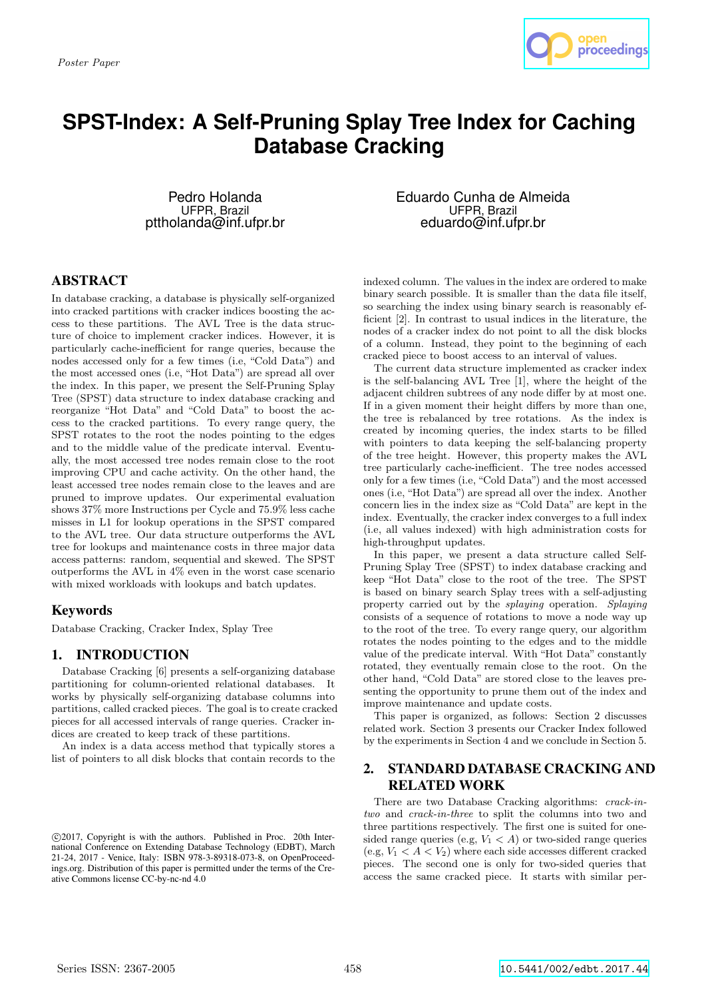

# **SPST-Index: A Self-Pruning Splay Tree Index for Caching Database Cracking**

Pedro Holanda UFPR, Brazil pttholanda@inf.ufpr.br Eduardo Cunha de Almeida UFPR, Brazil eduardo@inf.ufpr.br

# ABSTRACT

In database cracking, a database is physically self-organized into cracked partitions with cracker indices boosting the access to these partitions. The AVL Tree is the data structure of choice to implement cracker indices. However, it is particularly cache-inefficient for range queries, because the nodes accessed only for a few times (i.e, "Cold Data") and the most accessed ones (i.e, "Hot Data") are spread all over the index. In this paper, we present the Self-Pruning Splay Tree (SPST) data structure to index database cracking and reorganize "Hot Data" and "Cold Data" to boost the access to the cracked partitions. To every range query, the SPST rotates to the root the nodes pointing to the edges and to the middle value of the predicate interval. Eventually, the most accessed tree nodes remain close to the root improving CPU and cache activity. On the other hand, the least accessed tree nodes remain close to the leaves and are pruned to improve updates. Our experimental evaluation shows 37% more Instructions per Cycle and 75.9% less cache misses in L1 for lookup operations in the SPST compared to the AVL tree. Our data structure outperforms the AVL tree for lookups and maintenance costs in three major data access patterns: random, sequential and skewed. The SPST outperforms the AVL in 4% even in the worst case scenario with mixed workloads with lookups and batch updates.

# Keywords

Database Cracking, Cracker Index, Splay Tree

# **INTRODUCTION**

Database Cracking [6] presents a self-organizing database partitioning for column-oriented relational databases. It works by physically self-organizing database columns into partitions, called cracked pieces. The goal is to create cracked pieces for all accessed intervals of range queries. Cracker indices are created to keep track of these partitions.

An index is a data access method that typically stores a list of pointers to all disk blocks that contain records to the

indexed column. The values in the index are ordered to make binary search possible. It is smaller than the data file itself, so searching the index using binary search is reasonably efficient [2]. In contrast to usual indices in the literature, the nodes of a cracker index do not point to all the disk blocks of a column. Instead, they point to the beginning of each cracked piece to boost access to an interval of values.

The current data structure implemented as cracker index is the self-balancing AVL Tree [1], where the height of the adjacent children subtrees of any node differ by at most one. If in a given moment their height differs by more than one, the tree is rebalanced by tree rotations. As the index is created by incoming queries, the index starts to be filled with pointers to data keeping the self-balancing property of the tree height. However, this property makes the AVL tree particularly cache-inefficient. The tree nodes accessed only for a few times (i.e, "Cold Data") and the most accessed ones (i.e, "Hot Data") are spread all over the index. Another concern lies in the index size as "Cold Data" are kept in the index. Eventually, the cracker index converges to a full index (i.e, all values indexed) with high administration costs for high-throughput updates.

In this paper, we present a data structure called Self-Pruning Splay Tree (SPST) to index database cracking and keep "Hot Data" close to the root of the tree. The SPST is based on binary search Splay trees with a self-adjusting property carried out by the splaying operation. Splaying consists of a sequence of rotations to move a node way up to the root of the tree. To every range query, our algorithm rotates the nodes pointing to the edges and to the middle value of the predicate interval. With "Hot Data" constantly rotated, they eventually remain close to the root. On the other hand, "Cold Data" are stored close to the leaves presenting the opportunity to prune them out of the index and improve maintenance and update costs.

This paper is organized, as follows: Section 2 discusses related work. Section 3 presents our Cracker Index followed by the experiments in Section 4 and we conclude in Section 5.

# 2. STANDARD DATABASE CRACKING AND RELATED WORK

There are two Database Cracking algorithms: crack-intwo and crack-in-three to split the columns into two and three partitions respectively. The first one is suited for onesided range queries (e.g,  $V_1 < A$ ) or two-sided range queries  $(e.g, V_1 < A < V_2)$  where each side accesses different cracked pieces. The second one is only for two-sided queries that access the same cracked piece. It starts with similar per-

c 2017, Copyright is with the authors. Published in Proc. 20th International Conference on Extending Database Technology (EDBT), March 21-24, 2017 - Venice, Italy: ISBN 978-3-89318-073-8, on OpenProceedings.org. Distribution of this paper is permitted under the terms of the Creative Commons license CC-by-nc-nd 4.0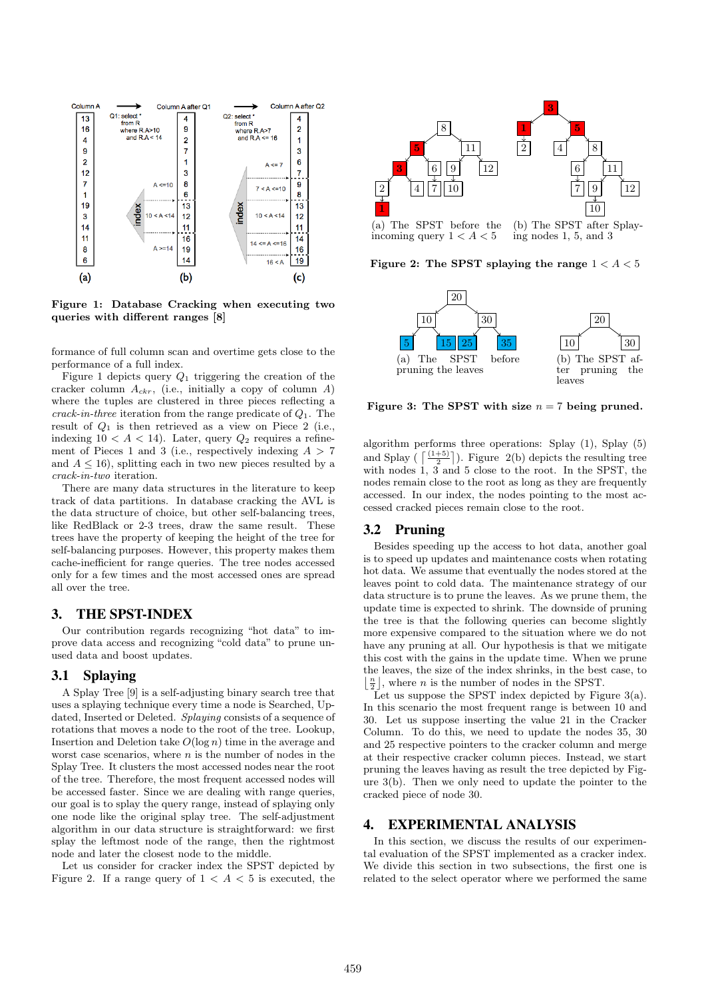

Figure 1: Database Cracking when executing two queries with different ranges [8]

formance of full column scan and overtime gets close to the performance of a full index.

Figure 1 depicts query  $Q_1$  triggering the creation of the cracker column  $A_{ckr}$ , (i.e., initially a copy of column A) where the tuples are clustered in three pieces reflecting a crack-in-three iteration from the range predicate of  $Q_1$ . The result of  $Q_1$  is then retrieved as a view on Piece 2 (i.e., indexing  $10 < A < 14$ ). Later, query  $Q_2$  requires a refinement of Pieces 1 and 3 (i.e., respectively indexing  $A > 7$ and  $A \leq 16$ , splitting each in two new pieces resulted by a crack-in-two iteration.

There are many data structures in the literature to keep track of data partitions. In database cracking the AVL is the data structure of choice, but other self-balancing trees, like RedBlack or 2-3 trees, draw the same result. These trees have the property of keeping the height of the tree for self-balancing purposes. However, this property makes them cache-inefficient for range queries. The tree nodes accessed only for a few times and the most accessed ones are spread all over the tree.

## 3. THE SPST-INDEX

Our contribution regards recognizing "hot data" to improve data access and recognizing "cold data" to prune unused data and boost updates.

#### 3.1 Splaying

A Splay Tree [9] is a self-adjusting binary search tree that uses a splaying technique every time a node is Searched, Updated, Inserted or Deleted. Splaying consists of a sequence of rotations that moves a node to the root of the tree. Lookup, Insertion and Deletion take  $O(\log n)$  time in the average and worst case scenarios, where  $n$  is the number of nodes in the Splay Tree. It clusters the most accessed nodes near the root of the tree. Therefore, the most frequent accessed nodes will be accessed faster. Since we are dealing with range queries, our goal is to splay the query range, instead of splaying only one node like the original splay tree. The self-adjustment algorithm in our data structure is straightforward: we first splay the leftmost node of the range, then the rightmost node and later the closest node to the middle.

Let us consider for cracker index the SPST depicted by Figure 2. If a range query of  $1 < A < 5$  is executed, the



Figure 2: The SPST splaying the range  $1 < A < 5$ 



Figure 3: The SPST with size  $n = 7$  being pruned.

algorithm performs three operations: Splay  $(1)$ , Splay  $(5)$ and Splay ( $\lceil \frac{(1+5)}{2} \rceil$ ). Figure 2(b) depicts the resulting tree with nodes 1, 3 and 5 close to the root. In the SPST, the nodes remain close to the root as long as they are frequently accessed. In our index, the nodes pointing to the most accessed cracked pieces remain close to the root.

#### 3.2 Pruning

Besides speeding up the access to hot data, another goal is to speed up updates and maintenance costs when rotating hot data. We assume that eventually the nodes stored at the leaves point to cold data. The maintenance strategy of our data structure is to prune the leaves. As we prune them, the update time is expected to shrink. The downside of pruning the tree is that the following queries can become slightly more expensive compared to the situation where we do not have any pruning at all. Our hypothesis is that we mitigate this cost with the gains in the update time. When we prune the leaves, the size of the index shrinks, in the best case, to  $\lfloor \frac{n}{2} \rfloor$ , where *n* is the number of nodes in the SPST.

Let us suppose the SPST index depicted by Figure  $3(a)$ . In this scenario the most frequent range is between 10 and 30. Let us suppose inserting the value 21 in the Cracker Column. To do this, we need to update the nodes 35, 30 and 25 respective pointers to the cracker column and merge at their respective cracker column pieces. Instead, we start pruning the leaves having as result the tree depicted by Figure 3(b). Then we only need to update the pointer to the cracked piece of node 30.

## 4. EXPERIMENTAL ANALYSIS

In this section, we discuss the results of our experimental evaluation of the SPST implemented as a cracker index. We divide this section in two subsections, the first one is related to the select operator where we performed the same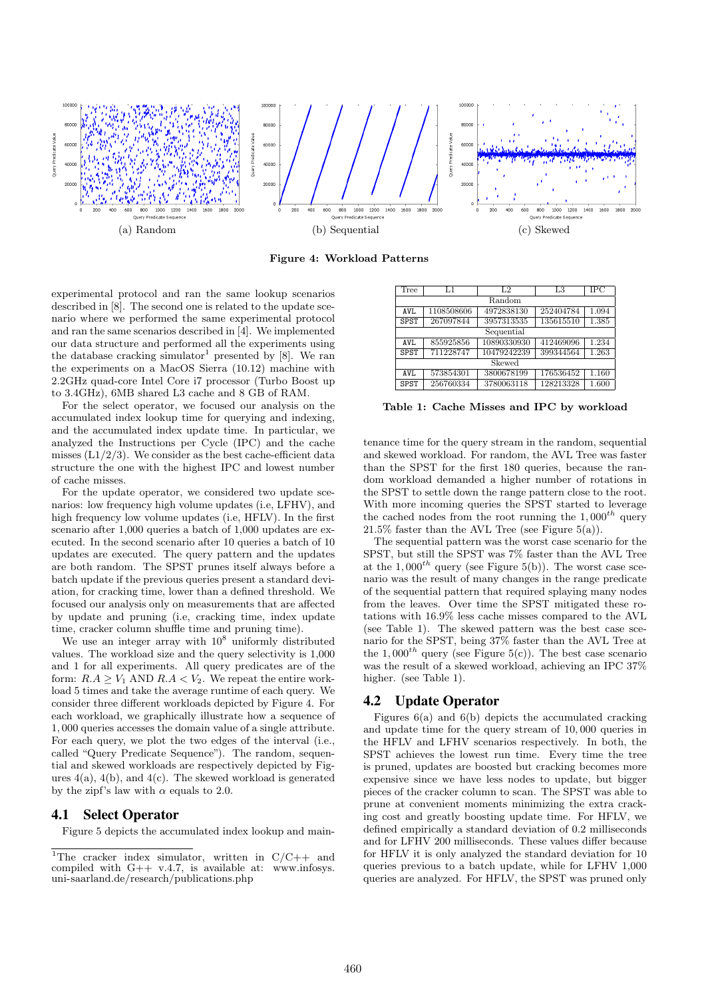

Figure 4: Workload Patterns

experimental protocol and ran the same lookup scenarios described in [8]. The second one is related to the update scenario where we performed the same experimental protocol and ran the same scenarios described in [4]. We implemented our data structure and performed all the experiments using the database cracking simulator<sup>1</sup> presented by [8]. We ran the experiments on a MacOS Sierra (10.12) machine with 2.2GHz quad-core Intel Core i7 processor (Turbo Boost up to 3.4GHz), 6MB shared L3 cache and 8 GB of RAM.

For the select operator, we focused our analysis on the accumulated index lookup time for querying and indexing, and the accumulated index update time. In particular, we analyzed the Instructions per Cycle (IPC) and the cache misses  $(L1/2/3)$ . We consider as the best cache-efficient data structure the one with the highest IPC and lowest number of cache misses.

For the update operator, we considered two update scenarios: low frequency high volume updates (i.e, LFHV), and high frequency low volume updates (i.e, HFLV). In the first scenario after 1,000 queries a batch of 1,000 updates are executed. In the second scenario after 10 queries a batch of 10 updates are executed. The query pattern and the updates are both random. The SPST prunes itself always before a batch update if the previous queries present a standard deviation, for cracking time, lower than a defined threshold. We focused our analysis only on measurements that are affected by update and pruning (i.e, cracking time, index update time, cracker column shuffle time and pruning time).

We use an integer array with  $10^8$  uniformly distributed values. The workload size and the query selectivity is 1,000 and 1 for all experiments. All query predicates are of the form:  $R.A \geq V_1$  AND  $R.A < V_2$ . We repeat the entire workload 5 times and take the average runtime of each query. We consider three different workloads depicted by Figure 4. For each workload, we graphically illustrate how a sequence of 1, 000 queries accesses the domain value of a single attribute. For each query, we plot the two edges of the interval (i.e., called "Query Predicate Sequence"). The random, sequential and skewed workloads are respectively depicted by Figures  $4(a)$ ,  $4(b)$ , and  $4(c)$ . The skewed workload is generated by the zipf's law with  $\alpha$  equals to 2.0.

#### 4.1 Select Operator

Figure 5 depicts the accumulated index lookup and main-

| Tree        | L1         | L <sub>2</sub> | L3        | IPC   |
|-------------|------------|----------------|-----------|-------|
| Random      |            |                |           |       |
| AVI.        | 1108508606 | 4972838130     | 252404784 | 1.094 |
| <b>SPST</b> | 267097844  | 3957313535     | 135615510 | 1.385 |
| Sequential  |            |                |           |       |
| AVL.        | 855925856  | 10890330930    | 412469096 | 1.234 |
| <b>SPST</b> | 711228747  | 10479242239    | 399344564 | 1.263 |
| Skewed      |            |                |           |       |
| AVI.        | 573854301  | 3800678199     | 176536452 | 1.160 |
| <b>SPST</b> | 256760334  | 3780063118     | 128213328 | 1.600 |
|             |            |                |           |       |

Table 1: Cache Misses and IPC by workload

tenance time for the query stream in the random, sequential and skewed workload. For random, the AVL Tree was faster than the SPST for the first 180 queries, because the random workload demanded a higher number of rotations in the SPST to settle down the range pattern close to the root. With more incoming queries the SPST started to leverage the cached nodes from the root running the  $1,000^{th}$  query  $21.5\%$  faster than the AVL Tree (see Figure  $5(a)$ ).

The sequential pattern was the worst case scenario for the SPST, but still the SPST was 7% faster than the AVL Tree at the 1,000<sup>th</sup> query (see Figure 5(b)). The worst case scenario was the result of many changes in the range predicate of the sequential pattern that required splaying many nodes from the leaves. Over time the SPST mitigated these rotations with 16.9% less cache misses compared to the AVL (see Table 1). The skewed pattern was the best case scenario for the SPST, being 37% faster than the AVL Tree at the 1,000<sup>th</sup> query (see Figure 5(c)). The best case scenario was the result of a skewed workload, achieving an IPC 37% higher. (see Table 1).

## 4.2 Update Operator

Figures 6(a) and 6(b) depicts the accumulated cracking and update time for the query stream of 10, 000 queries in the HFLV and LFHV scenarios respectively. In both, the SPST achieves the lowest run time. Every time the tree is pruned, updates are boosted but cracking becomes more expensive since we have less nodes to update, but bigger pieces of the cracker column to scan. The SPST was able to prune at convenient moments minimizing the extra cracking cost and greatly boosting update time. For HFLV, we defined empirically a standard deviation of 0.2 milliseconds and for LFHV 200 milliseconds. These values differ because for HFLV it is only analyzed the standard deviation for 10 queries previous to a batch update, while for LFHV 1,000 queries are analyzed. For HFLV, the SPST was pruned only

<sup>&</sup>lt;sup>1</sup>The cracker index simulator, written in  $C/C++$  and compiled with  $G++ v.4.7$ , is available at: www.infosys. uni-saarland.de/research/publications.php